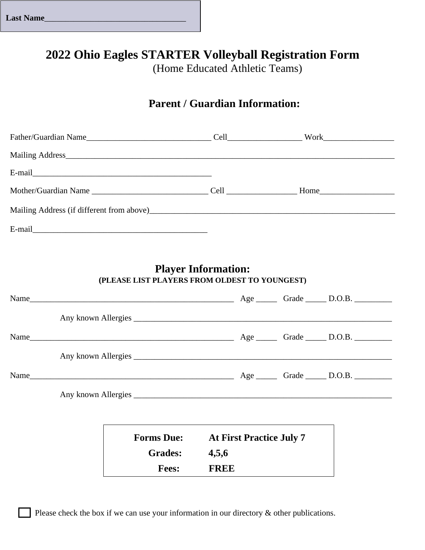| <b>Last Name</b> |
|------------------|
|------------------|

# **2022 Ohio Eagles STARTER Volleyball Registration Form**

(Home Educated Athletic Teams)

## **Parent / Guardian Information:**

| Mother/Guardian Name Cell Cell Home |  |  |
|-------------------------------------|--|--|
|                                     |  |  |
|                                     |  |  |

### **Player Information: (PLEASE LIST PLAYERS FROM OLDEST TO YOUNGEST)**

|  | Name              |                                 |  |  |
|--|-------------------|---------------------------------|--|--|
|  |                   |                                 |  |  |
|  |                   |                                 |  |  |
|  |                   |                                 |  |  |
|  |                   |                                 |  |  |
|  |                   |                                 |  |  |
|  |                   |                                 |  |  |
|  | <b>Forms Due:</b> | <b>At First Practice July 7</b> |  |  |
|  | <b>Grades:</b>    | 4,5,6                           |  |  |
|  | <b>Fees:</b>      | <b>FREE</b>                     |  |  |

Please check the box if we can use your information in our directory  $\&$  other publications.